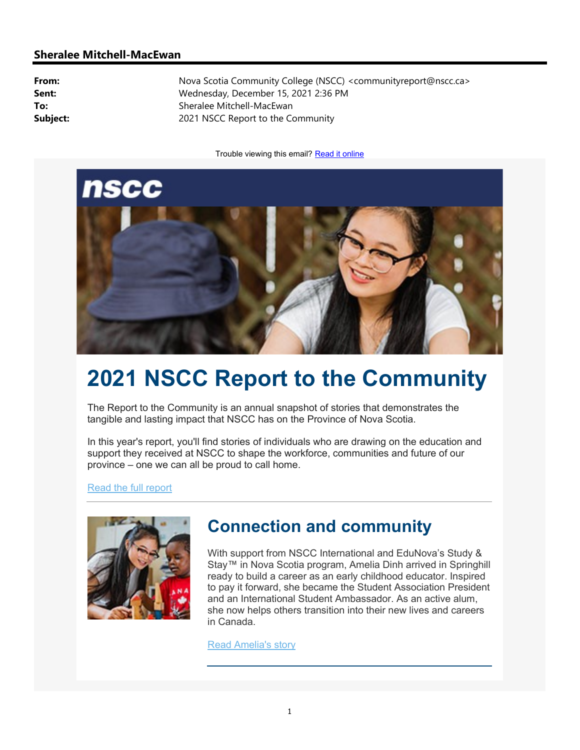#### Sheralee Mitchell-MacEwan

From: Nova Scotia Community College (NSCC) <communityreport@nscc.ca> Sent: Wednesday, December 15, 2021 2:36 PM To: Sheralee Mitchell-MacEwan **Subject:** 2021 NSCC Report to the Community

Trouble viewing this email? Read it online



# 2021 NSCC Report to the Community

The Report to the Community is an annual snapshot of stories that demonstrates the tangible and lasting impact that NSCC has on the Province of Nova Scotia.

In this year's report, you'll find stories of individuals who are drawing on the education and support they received at NSCC to shape the workforce, communities and future of our province – one we can all be proud to call home.

Read the full report



# Connection and community

With support from NSCC International and EduNova's Study & Stay™ in Nova Scotia program, Amelia Dinh arrived in Springhill ready to build a career as an early childhood educator. Inspired to pay it forward, she became the Student Association President and an International Student Ambassador. As an active alum, she now helps others transition into their new lives and careers in Canada.

Read Amelia's story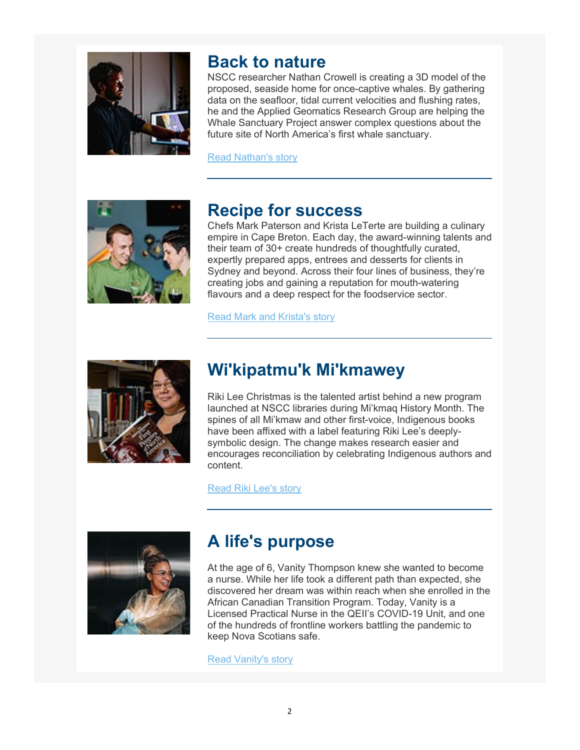

#### Back to nature

NSCC researcher Nathan Crowell is creating a 3D model of the proposed, seaside home for once-captive whales. By gathering data on the seafloor, tidal current velocities and flushing rates, he and the Applied Geomatics Research Group are helping the Whale Sanctuary Project answer complex questions about the future site of North America's first whale sanctuary.

Read Nathan's story



### Recipe for success

Chefs Mark Paterson and Krista LeTerte are building a culinary empire in Cape Breton. Each day, the award-winning talents and their team of 30+ create hundreds of thoughtfully curated, expertly prepared apps, entrees and desserts for clients in Sydney and beyond. Across their four lines of business, they're creating jobs and gaining a reputation for mouth-watering flavours and a deep respect for the foodservice sector.

Read Mark and Krista's story



# Wi'kipatmu'k Mi'kmawey

Riki Lee Christmas is the talented artist behind a new program launched at NSCC libraries during Mi'kmaq History Month. The spines of all Mi'kmaw and other first-voice, Indigenous books have been affixed with a label featuring Riki Lee's deeplysymbolic design. The change makes research easier and encourages reconciliation by celebrating Indigenous authors and content.

Read Riki Lee's story



# A life's purpose

At the age of 6, Vanity Thompson knew she wanted to become a nurse. While her life took a different path than expected, she discovered her dream was within reach when she enrolled in the African Canadian Transition Program. Today, Vanity is a Licensed Practical Nurse in the QEII's COVID-19 Unit, and one of the hundreds of frontline workers battling the pandemic to keep Nova Scotians safe.

Read Vanity's story